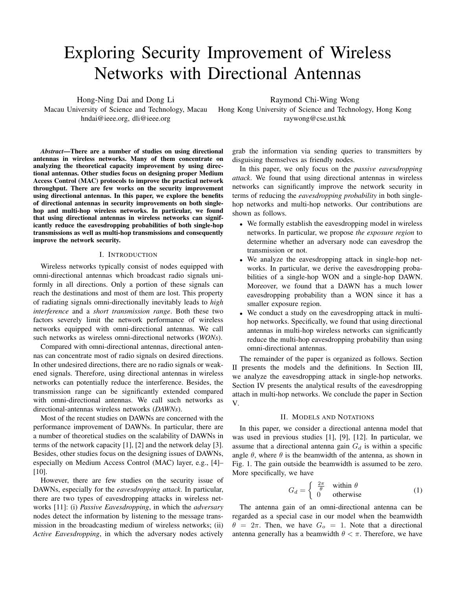# Exploring Security Improvement of Wireless Networks with Directional Antennas

Hong-Ning Dai and Dong Li Macau University of Science and Technology, Macau hndai@ieee.org, dli@ieee.org

Raymond Chi-Wing Wong Hong Kong University of Science and Technology, Hong Kong raywong@cse.ust.hk

*Abstract***—There are a number of studies on using directional antennas in wireless networks. Many of them concentrate on analyzing the theoretical capacity improvement by using directional antennas. Other studies focus on designing proper Medium Access Control (MAC) protocols to improve the practical network throughput. There are few works on the security improvement using directional antennas. In this paper, we explore the benefits of directional antennas in security improvements on both singlehop and multi-hop wireless networks. In particular, we found that using directional antennas in wireless networks can significantly reduce the eavesdropping probabilities of both single-hop transmissions as well as multi-hop transmissions and consequently improve the network security.**

## I. INTRODUCTION

Wireless networks typically consist of nodes equipped with omni-directional antennas which broadcast radio signals uniformly in all directions. Only a portion of these signals can reach the destinations and most of them are lost. This property of radiating signals omni-directionally inevitably leads to *high interference* and a *short transmission range*. Both these two factors severely limit the network performance of wireless networks equipped with omni-directional antennas. We call such networks as wireless omni-directional networks (*WONs*).

Compared with omni-directional antennas, directional antennas can concentrate most of radio signals on desired directions. In other undesired directions, there are no radio signals or weakened signals. Therefore, using directional antennas in wireless networks can potentially reduce the interference. Besides, the transmission range can be significantly extended compared with omni-directional antennas. We call such networks as directional-antennas wireless networks (*DAWNs*).

Most of the recent studies on DAWNs are concerned with the performance improvement of DAWNs. In particular, there are a number of theoretical studies on the scalability of DAWNs in terms of the network capacity [1], [2] and the network delay [3]. Besides, other studies focus on the designing issues of DAWNs, especially on Medium Access Control (MAC) layer, e.g., [4]– [10].

However, there are few studies on the security issue of DAWNs, especially for the *eavesdropping attack*. In particular, there are two types of eavesdropping attacks in wireless networks [11]: (i) *Passive Eavesdropping*, in which the *adversary* nodes detect the information by listening to the message transmission in the broadcasting medium of wireless networks; (ii) *Active Eavesdropping*, in which the adversary nodes actively

grab the information via sending queries to transmitters by disguising themselves as friendly nodes.

In this paper, we only focus on the *passive eavesdropping attack*. We found that using directional antennas in wireless networks can significantly improve the network security in terms of reducing the *eavesdropping probability* in both singlehop networks and multi-hop networks. Our contributions are shown as follows.

- <sup>∙</sup> We formally establish the eavesdropping model in wireless networks. In particular, we propose *the exposure region* to determine whether an adversary node can eavesdrop the transmission or not.
- <sup>∙</sup> We analyze the eavesdropping attack in single-hop networks. In particular, we derive the eavesdropping probabilities of a single-hop WON and a single-hop DAWN. Moreover, we found that a DAWN has a much lower eavesdropping probability than a WON since it has a smaller exposure region.
- <sup>∙</sup> We conduct a study on the eavesdropping attack in multihop networks. Specifically, we found that using directional antennas in multi-hop wireless networks can significantly reduce the multi-hop eavesdropping probability than using omni-directional antennas.

The remainder of the paper is organized as follows. Section II presents the models and the definitions. In Section III, we analyze the eavesdropping attack in single-hop networks. Section IV presents the analytical results of the eavesdropping attach in multi-hop networks. We conclude the paper in Section V.

## II. MODELS AND NOTATIONS

In this paper, we consider a directional antenna model that was used in previous studies [1], [9], [12]. In particular, we assume that a directional antenna gain  $G_d$  is within a specific angle  $\theta$ , where  $\theta$  is the beamwidth of the antenna, as shown in Fig. 1. The gain outside the beamwidth is assumed to be zero. More specifically, we have

$$
G_d = \begin{cases} \frac{2\pi}{\theta} & \text{within } \theta \\ 0 & \text{otherwise} \end{cases}
$$
 (1)

The antenna gain of an omni-directional antenna can be regarded as a special case in our model when the beamwidth  $\theta = 2\pi$ . Then, we have  $G<sub>o</sub> = 1$ . Note that a directional antenna generally has a beamwidth  $\theta < \pi$ . Therefore, we have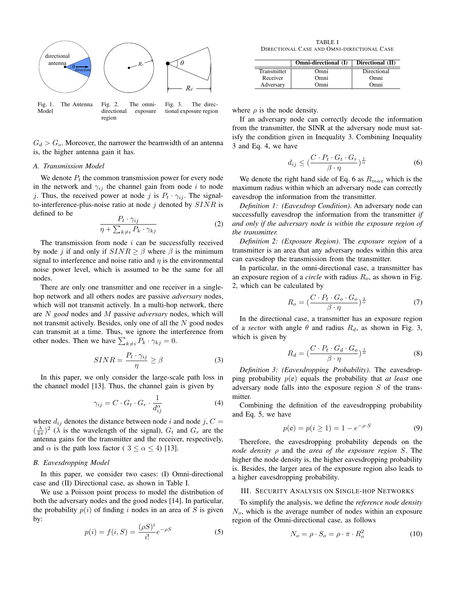

 $G_d > G_o$ . Moreover, the narrower the beamwidth of an antenna is, the higher antenna gain it has.

## *A. Transmission Model*

We denote  $P_t$  the common transmission power for every node in the network and  $\gamma_{ij}$  the channel gain from node *i* to node j. Thus, the received power at node j is  $P_t \cdot \gamma_{ij}$ . The signalto-interference-plus-noise ratio at node  $j$  denoted by  $SINR$  is defined to be

$$
\frac{P_t \cdot \gamma_{ij}}{\eta + \sum_{k \neq i} P_k \cdot \gamma_{kj}} \tag{2}
$$

The transmission from node  $i$  can be successfully received by node *j* if and only if  $SINR \ge \beta$  where  $\beta$  is the minimum signal to interference and noise ratio and  $\eta$  is the environmental noise power level, which is assumed to be the same for all nodes.

There are only one transmitter and one receiver in a singlehop network and all others nodes are passive *adversary* nodes, which will not transmit actively. In a multi-hop network, there are *N* good nodes and *M* passive *adversary* nodes, which will not transmit actively. Besides, only one of all the  $N$  good nodes can transmit at a time. Thus, we ignore the interference from other nodes. Then we have  $\sum_{k \neq i} P_k \cdot \gamma_{kj} = 0$ .

$$
SINR = \frac{P_t \cdot \gamma_{ij}}{\eta} \ge \beta \tag{3}
$$

In this paper, we only consider the large-scale path loss in the channel model [13]. Thus, the channel gain is given by

$$
\gamma_{ij} = C \cdot G_t \cdot G_r \cdot \frac{1}{d_{ij}^{\alpha}} \tag{4}
$$

where  $d_{ij}$  denotes the distance between node *i* and node *j*,  $C =$  $(\frac{\lambda}{4\pi})^2$  ( $\lambda$  is the wavelength of the signal),  $G_t$  and  $G_r$  are the antenna gains for the transmitter and the receiver, respectively, and  $\alpha$  is the path loss factor (  $3 \leq \alpha \leq 4$ ) [13].

# *B. Eavesdropping Model*

In this paper, we consider two cases: (I) Omni-directional case and (II) Directional case, as shown in Table I.

We use a Poisson point process to model the distribution of both the adversary nodes and the good nodes [14]. In particular, the probability  $p(i)$  of finding i nodes in an area of S is given by:

$$
p(i) = f(i, S) = \frac{(\rho S)^i}{i!} e^{-\rho S}
$$
 (5)

TABLE I DIRECTIONAL CASE AND OMNI-DIRECTIONAL CASE

|             | Omni-directional (I) | Directional (II) |
|-------------|----------------------|------------------|
| Transmitter | Əmni                 | Directional      |
| Receiver    | Omni                 | Omni             |
| Adversarv   | )mni                 | Omni             |

where  $\rho$  is the node density.

If an adversary node can correctly decode the information from the transmitter, the SINR at the adversary node must satisfy the condition given in Inequality 3. Combining Inequality 3 and Eq. 4, we have

$$
d_{ij} \leq \left(\frac{C \cdot P_t \cdot G_t \cdot G_r}{\beta \cdot \eta}\right)^{\frac{1}{\alpha}} \tag{6}
$$

We denote the right hand side of Eq. 6 as  $R_{max}$  which is the maximum radius within which an adversary node can correctly eavesdrop the information from the transmitter.

*Definition 1: (Eavesdrop Condition)*. An adversary node can successfully eavesdrop the information from the transmitter *if and only if the adversary node is within the exposure region of the transmitter.*

*Definition 2: (Exposure Region)*. The *exposure region* of a transmitter is an area that any adversary nodes within this area can eavesdrop the transmission from the transmitter.

In particular, in the omni-directional case, a transmitter has an exposure region of a *circle* with radius  $R<sub>o</sub>$ , as shown in Fig. 2, which can be calculated by

$$
R_o = \left(\frac{C \cdot P_t \cdot G_o \cdot G_o}{\beta \cdot \eta}\right)^{\frac{1}{\alpha}}\tag{7}
$$

In the directional case, a transmitter has an exposure region of a *sector* with angle  $\theta$  and radius  $R_d$ , as shown in Fig. 3, which is given by

$$
R_d = \left(\frac{C \cdot P_t \cdot G_d \cdot G_o}{\beta \cdot \eta}\right)^{\frac{1}{\alpha}} \tag{8}
$$

*Definition 3: (Eavesdropping Probability)*. The eavesdropping probability  $p(e)$  equals the probability that *at least* one adversary node falls into the exposure region  $S$  of the transmitter.

Combining the definition of the eavesdropping probability and Eq. 5, we have

$$
p(e) = p(i \ge 1) = 1 - e^{-\rho \cdot S}
$$
 (9)

Therefore, the eavesdropping probability depends on the *node density*  $\rho$  and the *area of the exposure region*  $S$ . The higher the node density is, the higher eavesdropping probability is. Besides, the larger area of the exposure region also leads to a higher eavesdropping probability.

## III. SECURITY ANALYSIS ON SINGLE-HOP NETWORKS

To simplify the analysis, we define the *reference node density*  $N<sub>o</sub>$ , which is the average number of nodes within an exposure region of the Omni-directional case, as follows

$$
N_o = \rho \cdot S_o = \rho \cdot \pi \cdot R_o^2 \tag{10}
$$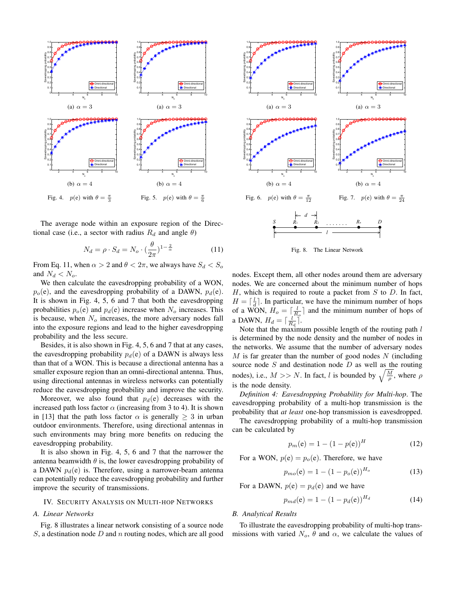

The average node within an exposure region of the Directional case (i.e., a sector with radius  $R_d$  and angle  $\theta$ )

$$
N_d = \rho \cdot S_d = N_o \cdot \left(\frac{\theta}{2\pi}\right)^{1-\frac{2}{\alpha}}\tag{11}
$$

From Eq. 11, when  $\alpha > 2$  and  $\theta < 2\pi$ , we always have  $S_d < S_o$ and  $N_d < N_o$ .

We then calculate the eavesdropping probability of a WON,  $p_o(e)$ , and the eavesdropping probability of a DAWN,  $p_d(e)$ . It is shown in Fig. 4, 5, 6 and 7 that both the eavesdropping probabilities  $p_o(e)$  and  $p_d(e)$  increase when  $N_o$  increases. This is because, when  $N<sub>o</sub>$  increases, the more adversary nodes fall into the exposure regions and lead to the higher eavesdropping probability and the less secure.

Besides, it is also shown in Fig. 4, 5, 6 and 7 that at any cases, the eavesdropping probability  $p_d(e)$  of a DAWN is always less than that of a WON. This is because a directional antenna has a smaller exposure region than an omni-directional antenna. Thus, using directional antennas in wireless networks can potentially reduce the eavesdropping probability and improve the security.

Moreover, we also found that  $p_d(e)$  decreases with the increased path loss factor  $\alpha$  (increasing from 3 to 4). It is shown in [13] that the path loss factor  $\alpha$  is generally  $\geq 3$  in urban outdoor environments. Therefore, using directional antennas in such environments may bring more benefits on reducing the eavesdropping probability.

It is also shown in Fig. 4, 5, 6 and 7 that the narrower the antenna beamwidth  $\theta$  is, the lower eavesdropping probability of a DAWN  $p_d(e)$  is. Therefore, using a narrower-beam antenna can potentially reduce the eavesdropping probability and further improve the security of transmissions.

# IV. SECURITY ANALYSIS ON MULTI-HOP NETWORKS

#### *A. Linear Networks*

Fig. 8 illustrates a linear network consisting of a source node  $S$ , a destination node  $D$  and  $n$  routing nodes, which are all good



Fig. 8. The Linear Network

nodes. Except them, all other nodes around them are adversary nodes. We are concerned about the minimum number of hops H, which is required to route a packet from  $S$  to  $D$ . In fact,  $H = \lceil \frac{l}{d} \rceil$ . In particular, we have the minimum number of hops of a WON,  $H_o = \left[\frac{l}{R_o}\right]$  and the minimum number of hops of a DAWN,  $H_d = \lceil \frac{l}{R_d} \rceil$ .

Note that the maximum possible length of the routing path  $l$ is determined by the node density and the number of nodes in the networks. We assume that the number of adversary nodes  $M$  is far greater than the number of good nodes  $N$  (including source node  $S$  and destination node  $D$  as well as the routing nodes), i.e.,  $M >> N$ . In fact, l is bounded by  $\sqrt{\frac{M}{\rho}}$ , where  $\rho$ is the node density.

*Definition 4: Eavesdropping Probability for Multi-hop*. The eavesdropping probability of a multi-hop transmission is the probability that *at least* one-hop transmission is eavesdropped.

The eavesdropping probability of a multi-hop transmission can be calculated by

$$
p_m(e) = 1 - (1 - p(e))^H
$$
 (12)

For a WON,  $p(e) = p<sub>o</sub>(e)$ . Therefore, we have

$$
p_{mo}(e) = 1 - (1 - p_o(e))^{H_o}
$$
 (13)

For a DAWN,  $p(e) = p_d(e)$  and we have

$$
p_{md}(e) = 1 - (1 - p_d(e))^{H_d}
$$
 (14)

## *B. Analytical Results*

To illustrate the eavesdropping probability of multi-hop transmissions with varied  $N_o$ ,  $\theta$  and  $\alpha$ , we calculate the values of